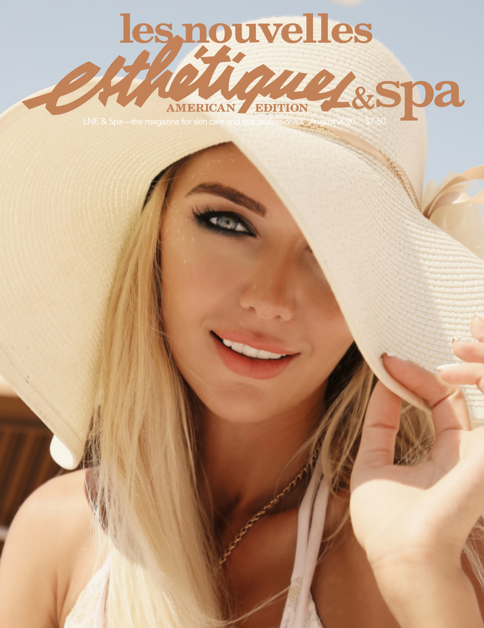# les nouvelles

MERICAN EDITION CARS DA LNE & Spa-the magazine for skin care and spa professionals. August 2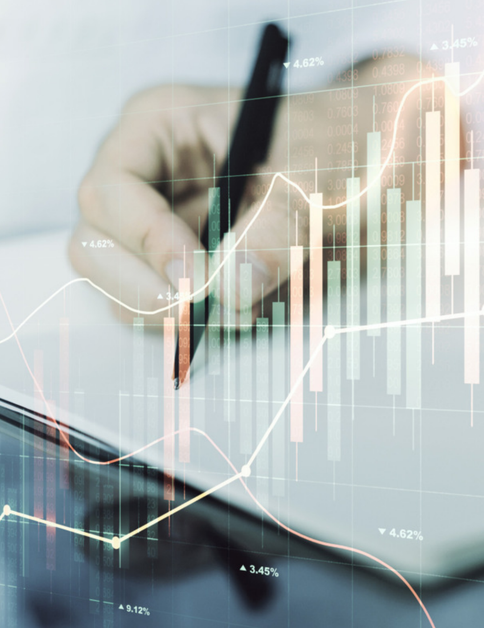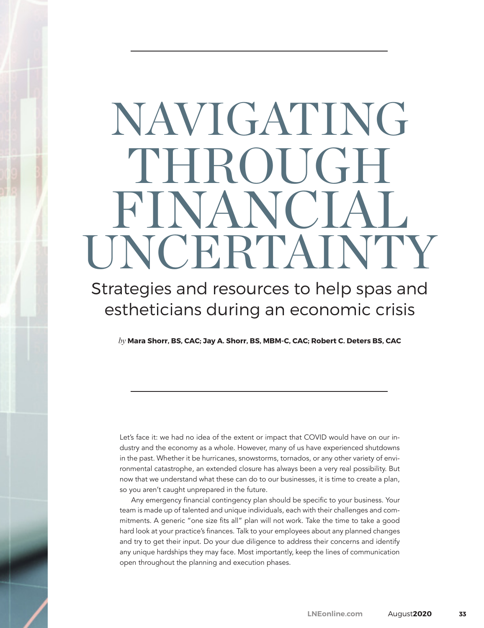## NAVIGATING THROUGH FINANCIAL UNCERTAINTY

#### Strategies and resources to help spas and estheticians during an economic crisis

*by* **Mara Shorr, BS, CAC; Jay A. Shorr, BS, MBM-C, CAC; Robert C. Deters BS, CAC**

Let's face it: we had no idea of the extent or impact that COVID would have on our industry and the economy as a whole. However, many of us have experienced shutdowns in the past. Whether it be hurricanes, snowstorms, tornados, or any other variety of environmental catastrophe, an extended closure has always been a very real possibility. But now that we understand what these can do to our businesses, it is time to create a plan, so you aren't caught unprepared in the future.

Any emergency financial contingency plan should be specific to your business. Your team is made up of talented and unique individuals, each with their challenges and commitments. A generic "one size fits all" plan will not work. Take the time to take a good hard look at your practice's finances. Talk to your employees about any planned changes and try to get their input. Do your due diligence to address their concerns and identify any unique hardships they may face. Most importantly, keep the lines of communication open throughout the planning and execution phases.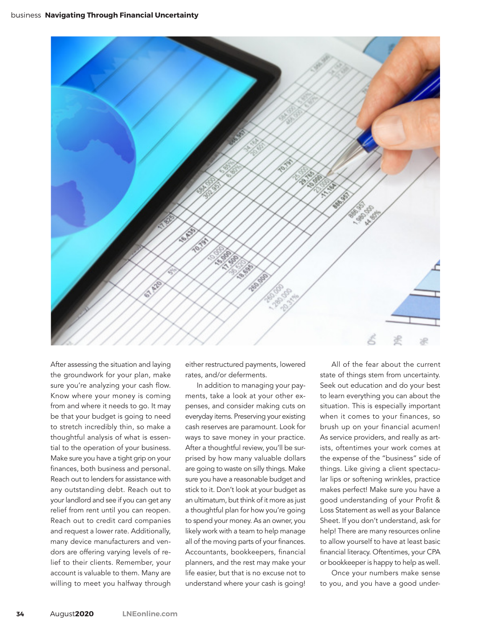

After assessing the situation and laying the groundwork for your plan, make sure you're analyzing your cash flow. Know where your money is coming from and where it needs to go. It may be that your budget is going to need to stretch incredibly thin, so make a thoughtful analysis of what is essential to the operation of your business. Make sure you have a tight grip on your finances, both business and personal. Reach out to lenders for assistance with any outstanding debt. Reach out to your landlord and see if you can get any relief from rent until you can reopen. Reach out to credit card companies and request a lower rate. Additionally, many device manufacturers and vendors are offering varying levels of relief to their clients. Remember, your account is valuable to them. Many are willing to meet you halfway through

either restructured payments, lowered rates, and/or deferments.

In addition to managing your payments, take a look at your other expenses, and consider making cuts on everyday items. Preserving your existing cash reserves are paramount. Look for ways to save money in your practice. After a thoughtful review, you'll be surprised by how many valuable dollars are going to waste on silly things. Make sure you have a reasonable budget and stick to it. Don't look at your budget as an ultimatum, but think of it more as just a thoughtful plan for how you're going to spend your money. As an owner, you likely work with a team to help manage all of the moving parts of your finances. Accountants, bookkeepers, financial planners, and the rest may make your life easier, but that is no excuse not to understand where your cash is going!

All of the fear about the current state of things stem from uncertainty. Seek out education and do your best to learn everything you can about the situation. This is especially important when it comes to your finances, so brush up on your financial acumen! As service providers, and really as artists, oftentimes your work comes at the expense of the "business" side of things. Like giving a client spectacular lips or softening wrinkles, practice makes perfect! Make sure you have a good understanding of your Profit & Loss Statement as well as your Balance Sheet. If you don't understand, ask for help! There are many resources online to allow yourself to have at least basic financial literacy. Oftentimes, your CPA or bookkeeper is happy to help as well.

Once your numbers make sense to you, and you have a good under-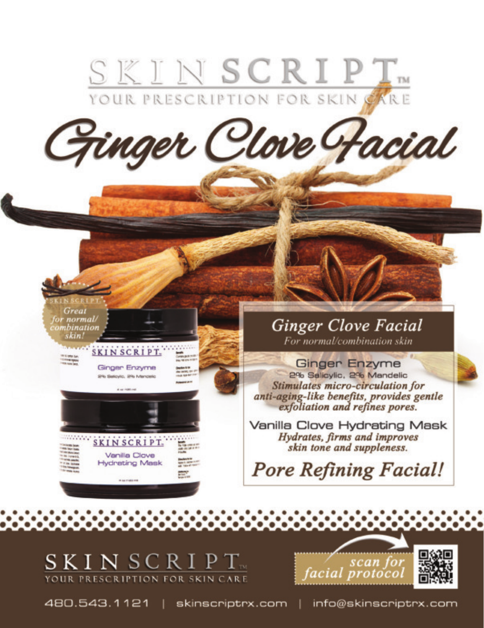

Ginger Clove Facial



**Ginger Enzyme** 2% Salicylic, 2% Mandelic Stimulates micro-circulation for anti-aging-like benefits, provides gentle<br>exfoliation and refines pores.

Vanilla Clove Hydrating Mask Hydrates, firms and improves skin tone and suppleness.

**Pore Refining Facial!** 



Great for normal/<br>:ombination

skin!

First Space<br>Think Sep

**SKINSCRIPT.** 

Ginger Enzyme

S% Selcylc, S% Mentelo

**SKINSCRIPT.** 

Vanilla Clove **Hydrating Mask** 

ALCOHOL:US



480.543.1121 skinscriptrx.com info@skinscriptrx.com